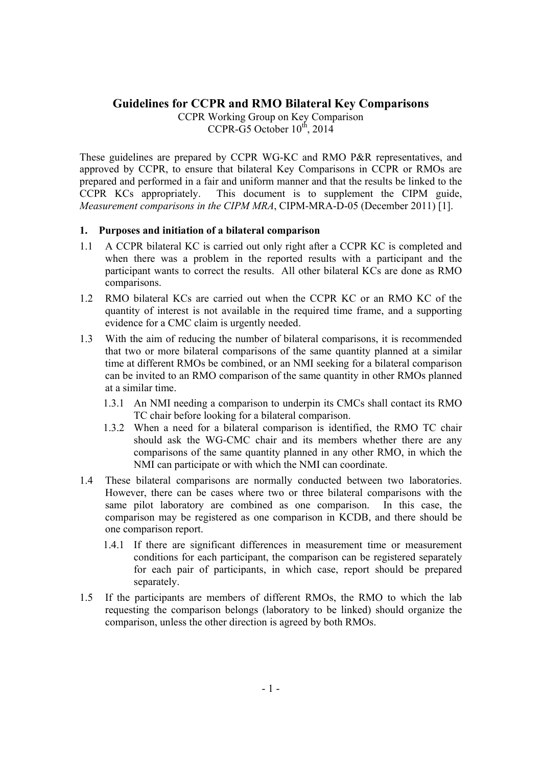# **Guidelines for CCPR and RMO Bilateral Key Comparisons**

CCPR Working Group on Key Comparison CCPR-G5 October  $10^{th}$ , 2014

These guidelines are prepared by CCPR WG-KC and RMO P&R representatives, and approved by CCPR, to ensure that bilateral Key Comparisons in CCPR or RMOs are prepared and performed in a fair and uniform manner and that the results be linked to the CCPR KCs appropriately. This document is to supplement the CIPM guide, *Measurement comparisons in the CIPM MRA*, CIPM-MRA-D-05 (December 2011) [1].

### **1. Purposes and initiation of a bilateral comparison**

- 1.1 A CCPR bilateral KC is carried out only right after a CCPR KC is completed and when there was a problem in the reported results with a participant and the participant wants to correct the results. All other bilateral KCs are done as RMO comparisons.
- 1.2 RMO bilateral KCs are carried out when the CCPR KC or an RMO KC of the quantity of interest is not available in the required time frame, and a supporting evidence for a CMC claim is urgently needed.
- 1.3 With the aim of reducing the number of bilateral comparisons, it is recommended that two or more bilateral comparisons of the same quantity planned at a similar time at different RMOs be combined, or an NMI seeking for a bilateral comparison can be invited to an RMO comparison of the same quantity in other RMOs planned at a similar time.
	- 1.3.1 An NMI needing a comparison to underpin its CMCs shall contact its RMO TC chair before looking for a bilateral comparison.
	- 1.3.2 When a need for a bilateral comparison is identified, the RMO TC chair should ask the WG-CMC chair and its members whether there are any comparisons of the same quantity planned in any other RMO, in which the NMI can participate or with which the NMI can coordinate.
- 1.4 These bilateral comparisons are normally conducted between two laboratories. However, there can be cases where two or three bilateral comparisons with the same pilot laboratory are combined as one comparison. In this case, the comparison may be registered as one comparison in KCDB, and there should be one comparison report.
	- 1.4.1 If there are significant differences in measurement time or measurement conditions for each participant, the comparison can be registered separately for each pair of participants, in which case, report should be prepared separately.
- 1.5 If the participants are members of different RMOs, the RMO to which the lab requesting the comparison belongs (laboratory to be linked) should organize the comparison, unless the other direction is agreed by both RMOs.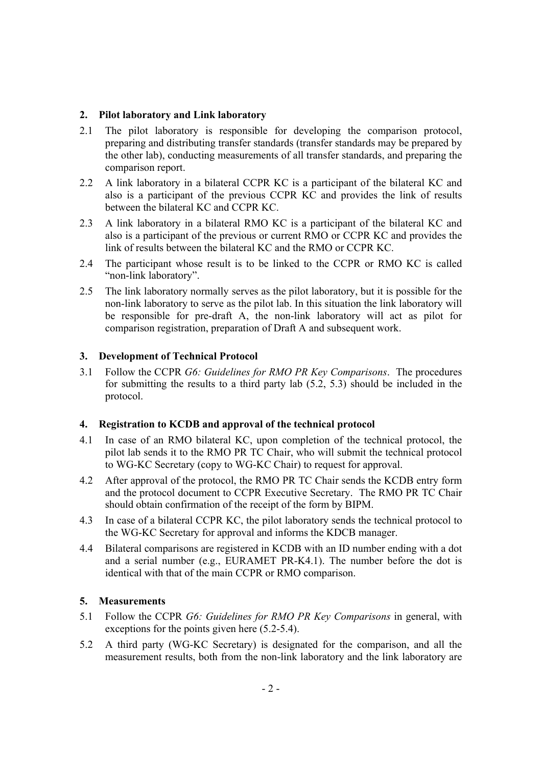### **2. Pilot laboratory and Link laboratory**

- 2.1 The pilot laboratory is responsible for developing the comparison protocol, preparing and distributing transfer standards (transfer standards may be prepared by the other lab), conducting measurements of all transfer standards, and preparing the comparison report.
- 2.2 A link laboratory in a bilateral CCPR KC is a participant of the bilateral KC and also is a participant of the previous CCPR KC and provides the link of results between the bilateral KC and CCPR KC.
- 2.3 A link laboratory in a bilateral RMO KC is a participant of the bilateral KC and also is a participant of the previous or current RMO or CCPR KC and provides the link of results between the bilateral KC and the RMO or CCPR KC.
- 2.4 The participant whose result is to be linked to the CCPR or RMO KC is called "non-link laboratory".
- 2.5 The link laboratory normally serves as the pilot laboratory, but it is possible for the non-link laboratory to serve as the pilot lab. In this situation the link laboratory will be responsible for pre-draft A, the non-link laboratory will act as pilot for comparison registration, preparation of Draft A and subsequent work.

## **3. Development of Technical Protocol**

3.1 Follow the CCPR *G6: Guidelines for RMO PR Key Comparisons*. The procedures for submitting the results to a third party lab (5.2, 5.3) should be included in the protocol.

## **4. Registration to KCDB and approval of the technical protocol**

- 4.1 In case of an RMO bilateral KC, upon completion of the technical protocol, the pilot lab sends it to the RMO PR TC Chair, who will submit the technical protocol to WG-KC Secretary (copy to WG-KC Chair) to request for approval.
- 4.2 After approval of the protocol, the RMO PR TC Chair sends the KCDB entry form and the protocol document to CCPR Executive Secretary. The RMO PR TC Chair should obtain confirmation of the receipt of the form by BIPM.
- 4.3 In case of a bilateral CCPR KC, the pilot laboratory sends the technical protocol to the WG-KC Secretary for approval and informs the KDCB manager.
- 4.4 Bilateral comparisons are registered in KCDB with an ID number ending with a dot and a serial number (e.g., EURAMET PR-K4.1). The number before the dot is identical with that of the main CCPR or RMO comparison.

## **5. Measurements**

- 5.1 Follow the CCPR *G6: Guidelines for RMO PR Key Comparisons* in general, with exceptions for the points given here (5.2-5.4).
- 5.2 A third party (WG-KC Secretary) is designated for the comparison, and all the measurement results, both from the non-link laboratory and the link laboratory are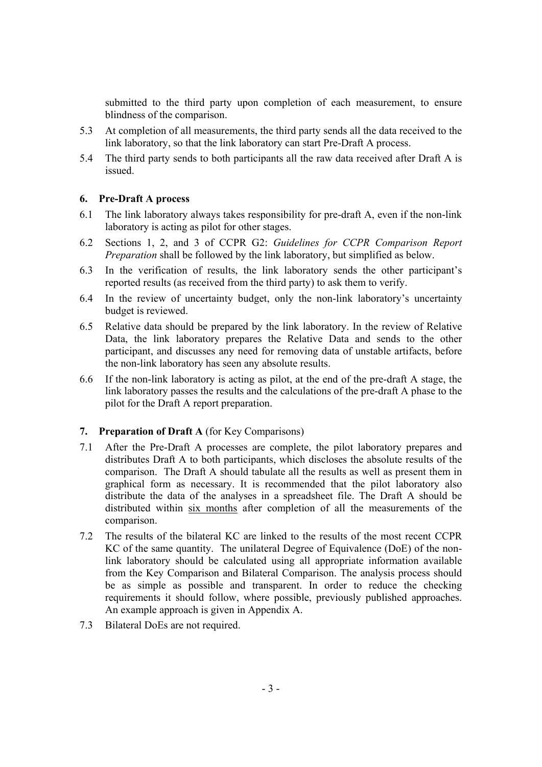submitted to the third party upon completion of each measurement, to ensure blindness of the comparison.

- 5.3 At completion of all measurements, the third party sends all the data received to the link laboratory, so that the link laboratory can start Pre-Draft A process.
- 5.4 The third party sends to both participants all the raw data received after Draft A is issued.

#### **6. Pre-Draft A process**

- 6.1 The link laboratory always takes responsibility for pre-draft A, even if the non-link laboratory is acting as pilot for other stages.
- 6.2 Sections 1, 2, and 3 of CCPR G2: *Guidelines for CCPR Comparison Report Preparation* shall be followed by the link laboratory, but simplified as below.
- 6.3 In the verification of results, the link laboratory sends the other participant's reported results (as received from the third party) to ask them to verify.
- 6.4 In the review of uncertainty budget, only the non-link laboratory's uncertainty budget is reviewed.
- 6.5 Relative data should be prepared by the link laboratory. In the review of Relative Data, the link laboratory prepares the Relative Data and sends to the other participant, and discusses any need for removing data of unstable artifacts, before the non-link laboratory has seen any absolute results.
- 6.6 If the non-link laboratory is acting as pilot, at the end of the pre-draft A stage, the link laboratory passes the results and the calculations of the pre-draft A phase to the pilot for the Draft A report preparation.

### **7. Preparation of Draft A** (for Key Comparisons)

- 7.1 After the Pre-Draft A processes are complete, the pilot laboratory prepares and distributes Draft A to both participants, which discloses the absolute results of the comparison. The Draft A should tabulate all the results as well as present them in graphical form as necessary. It is recommended that the pilot laboratory also distribute the data of the analyses in a spreadsheet file. The Draft A should be distributed within six months after completion of all the measurements of the comparison.
- 7.2 The results of the bilateral KC are linked to the results of the most recent CCPR KC of the same quantity. The unilateral Degree of Equivalence (DoE) of the nonlink laboratory should be calculated using all appropriate information available from the Key Comparison and Bilateral Comparison. The analysis process should be as simple as possible and transparent. In order to reduce the checking requirements it should follow, where possible, previously published approaches. An example approach is given in Appendix A.
- 7.3 Bilateral DoEs are not required.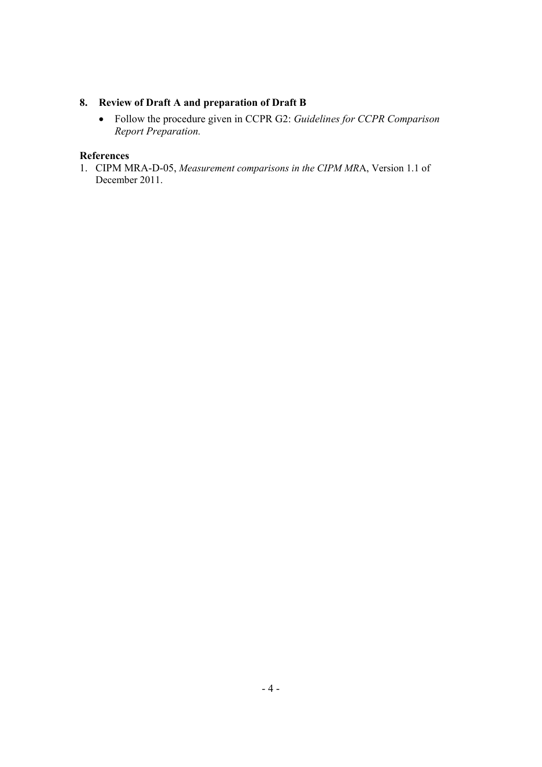# **8. Review of Draft A and preparation of Draft B**

 Follow the procedure given in CCPR G2: *Guidelines for CCPR Comparison Report Preparation.*

## **References**

1. CIPM MRA-D-05, *Measurement comparisons in the CIPM MR*A, Version 1.1 of December 2011.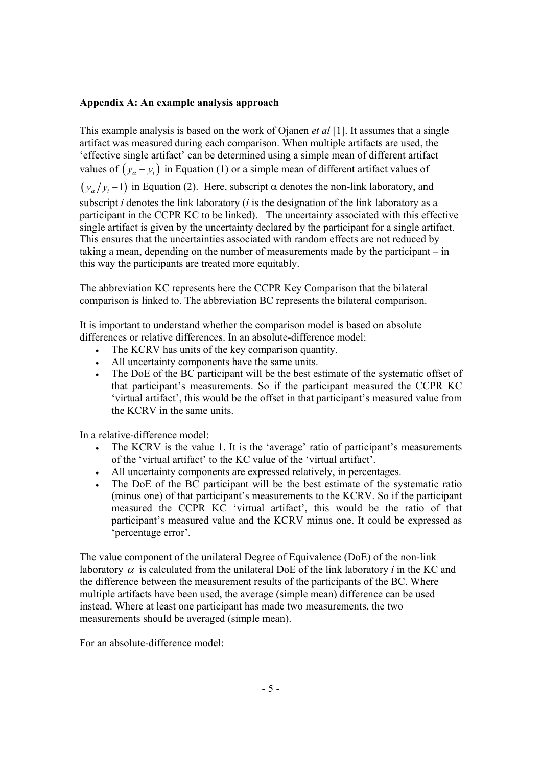### **Appendix A: An example analysis approach**

This example analysis is based on the work of Ojanen *et al* [1]. It assumes that a single artifact was measured during each comparison. When multiple artifacts are used, the 'effective single artifact' can be determined using a simple mean of different artifact values of  $(y_{\alpha} - y_i)$  in Equation (1) or a simple mean of different artifact values of  $(y_{\alpha}/y_{i}-1)$  in Equation (2). Here, subscript  $\alpha$  denotes the non-link laboratory, and subscript *i* denotes the link laboratory (*i* is the designation of the link laboratory as a participant in the CCPR KC to be linked). The uncertainty associated with this effective single artifact is given by the uncertainty declared by the participant for a single artifact. This ensures that the uncertainties associated with random effects are not reduced by taking a mean, depending on the number of measurements made by the participant – in this way the participants are treated more equitably.

The abbreviation KC represents here the CCPR Key Comparison that the bilateral comparison is linked to. The abbreviation BC represents the bilateral comparison.

It is important to understand whether the comparison model is based on absolute differences or relative differences. In an absolute-difference model:

- The KCRV has units of the key comparison quantity.
- All uncertainty components have the same units.
- The DoE of the BC participant will be the best estimate of the systematic offset of that participant's measurements. So if the participant measured the CCPR KC 'virtual artifact', this would be the offset in that participant's measured value from the KCRV in the same units.

In a relative-difference model:

- The KCRV is the value 1. It is the 'average' ratio of participant's measurements of the 'virtual artifact' to the KC value of the 'virtual artifact'.
- All uncertainty components are expressed relatively, in percentages.
- The DoE of the BC participant will be the best estimate of the systematic ratio (minus one) of that participant's measurements to the KCRV. So if the participant measured the CCPR KC 'virtual artifact', this would be the ratio of that participant's measured value and the KCRV minus one. It could be expressed as 'percentage error'.

The value component of the unilateral Degree of Equivalence (DoE) of the non-link laboratory  $\alpha$  is calculated from the unilateral DoE of the link laboratory *i* in the KC and the difference between the measurement results of the participants of the BC. Where multiple artifacts have been used, the average (simple mean) difference can be used instead. Where at least one participant has made two measurements, the two measurements should be averaged (simple mean).

For an absolute-difference model: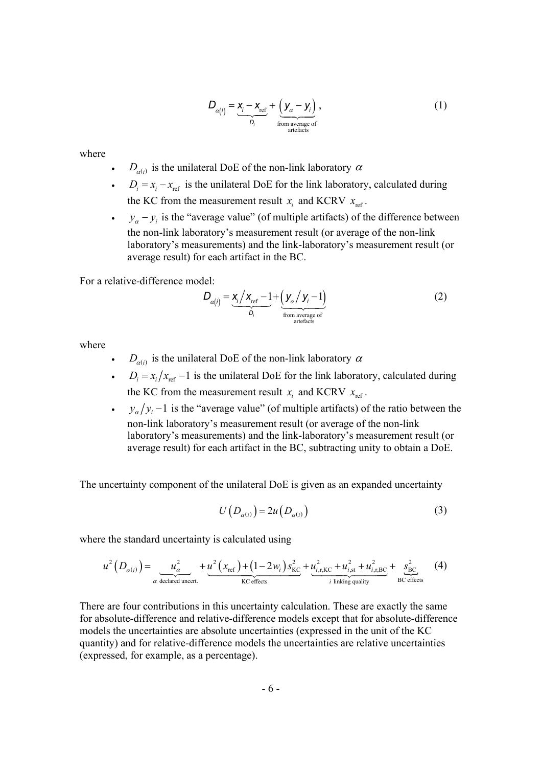$$
D_{\alpha(i)} = \underbrace{x_i - x_{\text{ref}}}_{D_i} + \underbrace{(y_{\alpha} - y_i)}_{\text{from average of}} \,,\tag{1}
$$

where

- $D_{\alpha(i)}$  is the unilateral DoE of the non-link laboratory  $\alpha$
- $D_i = x_i x_{ref}$  is the unilateral DoE for the link laboratory, calculated during the KC from the measurement result  $x_i$  and KCRV  $x_{\text{ref}}$ .
- $y_a y_i$  is the "average value" (of multiple artifacts) of the difference between the non-link laboratory's measurement result (or average of the non-link laboratory's measurements) and the link-laboratory's measurement result (or average result) for each artifact in the BC.

For a relative-difference model:

$$
D_{\alpha(i)} = \underbrace{x_i / x_{\text{ref}} - 1}_{D_i} + \underbrace{(y_{\alpha} / y_i - 1)}_{\text{from average of}}
$$
(2)

where

- $D_{\alpha(i)}$  is the unilateral DoE of the non-link laboratory  $\alpha$
- $\cdot$  *D<sub>i</sub>* =  $x_i/x_{\text{ref}} 1$  is the unilateral DoE for the link laboratory, calculated during the KC from the measurement result  $x_i$  and KCRV  $x_{ref}$ .
- $\cdot$  *y<sub>a</sub>*  $/y_i$  –1 is the "average value" (of multiple artifacts) of the ratio between the non-link laboratory's measurement result (or average of the non-link laboratory's measurements) and the link-laboratory's measurement result (or average result) for each artifact in the BC, subtracting unity to obtain a DoE.

The uncertainty component of the unilateral DoE is given as an expanded uncertainty

$$
U(D_{\alpha(i)}) = 2u(D_{\alpha(i)})\tag{3}
$$

where the standard uncertainty is calculated using

$$
u^{2}\left(D_{\alpha(i)}\right) = \underbrace{u_{\alpha}^{2}}_{\alpha \text{ declared under.}} + \underbrace{u^{2}\left(x_{\text{ref}}\right) + \left(1 - 2w_{i}\right)s_{\text{KC}}^{2}}_{\text{KC effects}} + \underbrace{u_{i,\text{r},\text{KC}}^{2} + u_{i,\text{st}}^{2} + u_{i,\text{r},\text{BC}}^{2}}_{i \text{ linking quality}} + \underbrace{s_{\text{BC}}^{2}}_{\text{BC effects}} \tag{4}
$$

There are four contributions in this uncertainty calculation. These are exactly the same for absolute-difference and relative-difference models except that for absolute-difference models the uncertainties are absolute uncertainties (expressed in the unit of the KC quantity) and for relative-difference models the uncertainties are relative uncertainties (expressed, for example, as a percentage).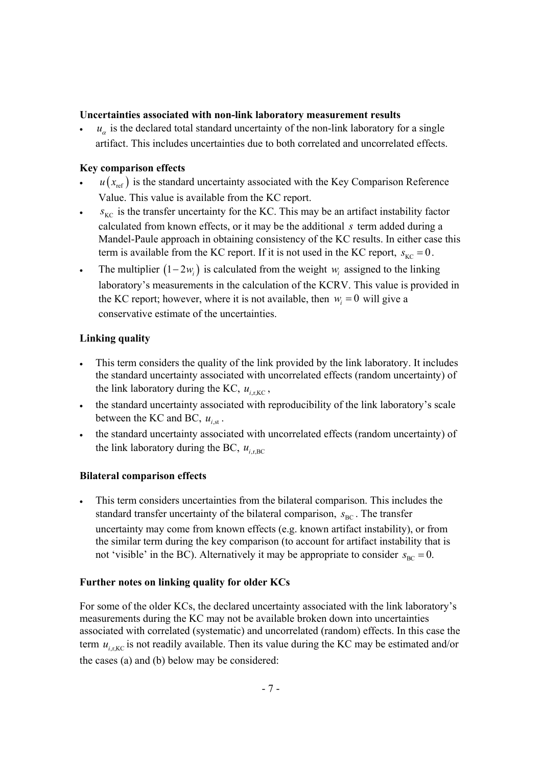### **Uncertainties associated with non-link laboratory measurement results**

 $u_{\alpha}$  is the declared total standard uncertainty of the non-link laboratory for a single artifact. This includes uncertainties due to both correlated and uncorrelated effects.

## **Key comparison effects**

- $u(x_{ref})$  is the standard uncertainty associated with the Key Comparison Reference Value. This value is available from the KC report.
- $s_{\text{KC}}$  is the transfer uncertainty for the KC. This may be an artifact instability factor calculated from known effects, or it may be the additional *s* term added during a Mandel-Paule approach in obtaining consistency of the KC results. In either case this term is available from the KC report. If it is not used in the KC report,  $s_{\text{KC}} = 0$ .
- The multiplier  $(1 2w_i)$  is calculated from the weight *w<sub>i</sub>* assigned to the linking laboratory's measurements in the calculation of the KCRV. This value is provided in the KC report; however, where it is not available, then  $w_i = 0$  will give a conservative estimate of the uncertainties.

## **Linking quality**

- This term considers the quality of the link provided by the link laboratory. It includes the standard uncertainty associated with uncorrelated effects (random uncertainty) of the link laboratory during the KC,  $u_{i,\text{r,KC}}$ ,
- the standard uncertainty associated with reproducibility of the link laboratory's scale between the KC and BC,  $u_{i,st}$ .
- the standard uncertainty associated with uncorrelated effects (random uncertainty) of the link laboratory during the BC,  $u_{i, \text{rec}}$

## **Bilateral comparison effects**

 This term considers uncertainties from the bilateral comparison. This includes the standard transfer uncertainty of the bilateral comparison,  $S_{BC}$ . The transfer uncertainty may come from known effects (e.g. known artifact instability), or from the similar term during the key comparison (to account for artifact instability that is not 'visible' in the BC). Alternatively it may be appropriate to consider  $s_{BC} = 0$ .

## **Further notes on linking quality for older KCs**

For some of the older KCs, the declared uncertainty associated with the link laboratory's measurements during the KC may not be available broken down into uncertainties associated with correlated (systematic) and uncorrelated (random) effects. In this case the term  $u_{i, {\rm rec}}$  is not readily available. Then its value during the KC may be estimated and/or the cases (a) and (b) below may be considered: